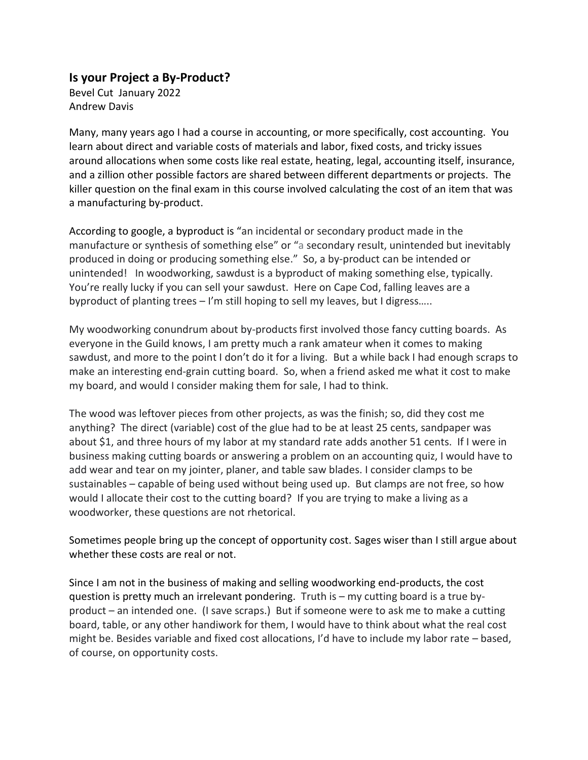## **Is your Project a By-Product?**

Bevel Cut January 2022 Andrew Davis

Many, many years ago I had a course in accounting, or more specifically, cost accounting. You learn about direct and variable costs of materials and labor, fixed costs, and tricky issues around allocations when some costs like real estate, heating, legal, accounting itself, insurance, and a zillion other possible factors are shared between different departments or projects. The killer question on the final exam in this course involved calculating the cost of an item that was a manufacturing by-product.

According to google, a byproduct is "an incidental or secondary product made in the manufacture or synthesis of something else" or "a secondary result, unintended but inevitably produced in doing or producing something else." So, a by-product can be intended or unintended! In woodworking, sawdust is a byproduct of making something else, typically. You're really lucky if you can sell your sawdust. Here on Cape Cod, falling leaves are a byproduct of planting trees – I'm still hoping to sell my leaves, but I digress…..

My woodworking conundrum about by-products first involved those fancy cutting boards. As everyone in the Guild knows, I am pretty much a rank amateur when it comes to making sawdust, and more to the point I don't do it for a living. But a while back I had enough scraps to make an interesting end-grain cutting board. So, when a friend asked me what it cost to make my board, and would I consider making them for sale, I had to think.

The wood was leftover pieces from other projects, as was the finish; so, did they cost me anything? The direct (variable) cost of the glue had to be at least 25 cents, sandpaper was about \$1, and three hours of my labor at my standard rate adds another 51 cents. If I were in business making cutting boards or answering a problem on an accounting quiz, I would have to add wear and tear on my jointer, planer, and table saw blades. I consider clamps to be sustainables – capable of being used without being used up. But clamps are not free, so how would I allocate their cost to the cutting board? If you are trying to make a living as a woodworker, these questions are not rhetorical.

Sometimes people bring up the concept of opportunity cost. Sages wiser than I still argue about whether these costs are real or not.

Since I am not in the business of making and selling woodworking end-products, the cost question is pretty much an irrelevant pondering. Truth is – my cutting board is a true byproduct – an intended one. (I save scraps.) But if someone were to ask me to make a cutting board, table, or any other handiwork for them, I would have to think about what the real cost might be. Besides variable and fixed cost allocations, I'd have to include my labor rate – based, of course, on opportunity costs.